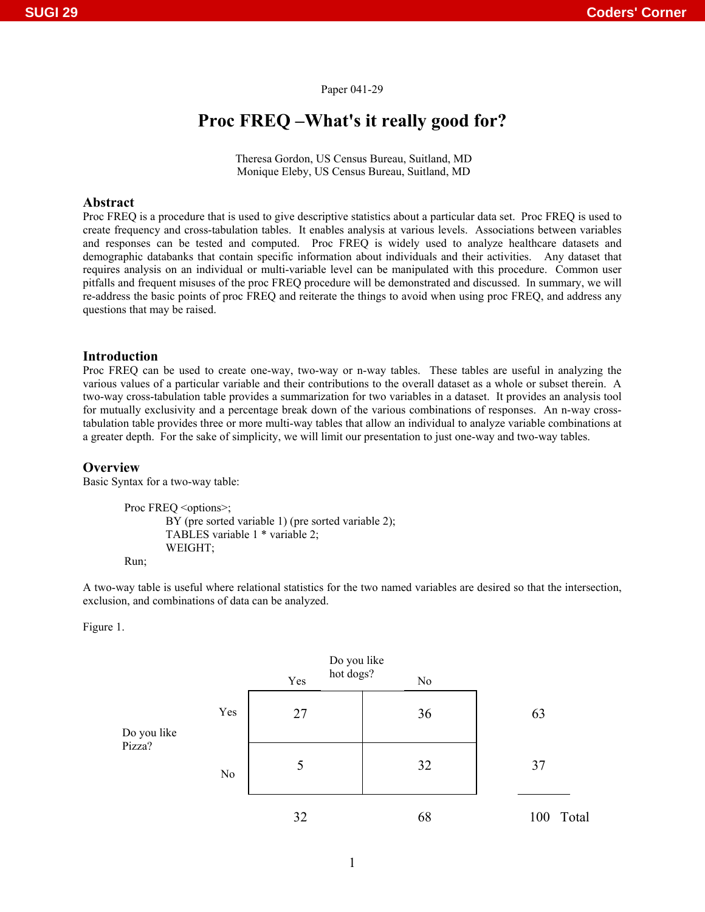### Paper 041-29

# **Proc FREQ –What's it really good for?**

 Theresa Gordon, US Census Bureau, Suitland, MD Monique Eleby, US Census Bureau, Suitland, MD

# **Abstract**

Proc FREQ is a procedure that is used to give descriptive statistics about a particular data set. Proc FREQ is used to create frequency and cross-tabulation tables. It enables analysis at various levels. Associations between variables and responses can be tested and computed. Proc FREQ is widely used to analyze healthcare datasets and demographic databanks that contain specific information about individuals and their activities. Any dataset that requires analysis on an individual or multi-variable level can be manipulated with this procedure. Common user pitfalls and frequent misuses of the proc FREQ procedure will be demonstrated and discussed. In summary, we will re-address the basic points of proc FREQ and reiterate the things to avoid when using proc FREQ, and address any questions that may be raised.

## **Introduction**

Proc FREQ can be used to create one-way, two-way or n-way tables. These tables are useful in analyzing the various values of a particular variable and their contributions to the overall dataset as a whole or subset therein. A two-way cross-tabulation table provides a summarization for two variables in a dataset. It provides an analysis tool for mutually exclusivity and a percentage break down of the various combinations of responses. An n-way crosstabulation table provides three or more multi-way tables that allow an individual to analyze variable combinations at a greater depth. For the sake of simplicity, we will limit our presentation to just one-way and two-way tables.

#### **Overview**

Basic Syntax for a two-way table:

Proc FREQ <options>; BY (pre sorted variable 1) (pre sorted variable 2); TABLES variable 1 \* variable 2; WEIGHT;

Run;

A two-way table is useful where relational statistics for the two named variables are desired so that the intersection, exclusion, and combinations of data can be analyzed.

Figure 1.

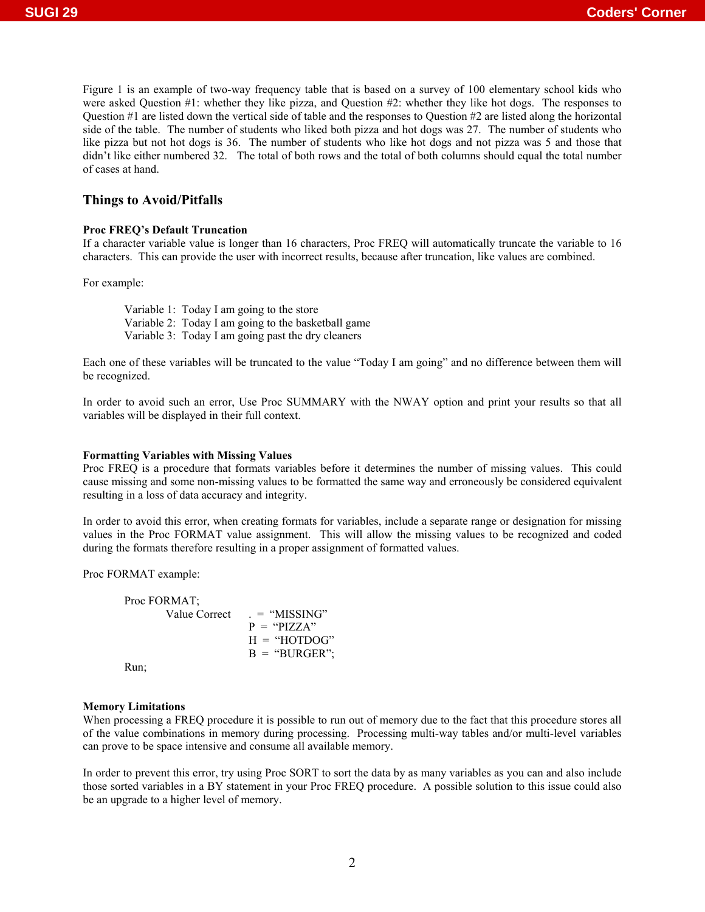Figure 1 is an example of two-way frequency table that is based on a survey of 100 elementary school kids who were asked Question #1: whether they like pizza, and Question #2: whether they like hot dogs. The responses to Question #1 are listed down the vertical side of table and the responses to Question #2 are listed along the horizontal side of the table. The number of students who liked both pizza and hot dogs was 27. The number of students who like pizza but not hot dogs is 36. The number of students who like hot dogs and not pizza was 5 and those that didn't like either numbered 32. The total of both rows and the total of both columns should equal the total number of cases at hand.

## **Things to Avoid/Pitfalls**

#### **Proc FREQ's Default Truncation**

If a character variable value is longer than 16 characters, Proc FREQ will automatically truncate the variable to 16 characters. This can provide the user with incorrect results, because after truncation, like values are combined.

For example:

Variable 1: Today I am going to the store Variable 2: Today I am going to the basketball game Variable 3: Today I am going past the dry cleaners

Each one of these variables will be truncated to the value "Today I am going" and no difference between them will be recognized.

In order to avoid such an error, Use Proc SUMMARY with the NWAY option and print your results so that all variables will be displayed in their full context.

#### **Formatting Variables with Missing Values**

Proc FREQ is a procedure that formats variables before it determines the number of missing values. This could cause missing and some non-missing values to be formatted the same way and erroneously be considered equivalent resulting in a loss of data accuracy and integrity.

In order to avoid this error, when creating formats for variables, include a separate range or designation for missing values in the Proc FORMAT value assignment. This will allow the missing values to be recognized and coded during the formats therefore resulting in a proper assignment of formatted values.

Proc FORMAT example:

| Proc FORMAT: |                                |
|--------------|--------------------------------|
|              | Value Correct<br>$=$ "MISSING" |
|              | $P = "PIZZA"$                  |
|              | $H = "HOTDOG"$                 |
|              | $B = "BURGER":$                |
| Run∙         |                                |

#### Run;

#### **Memory Limitations**

When processing a FREQ procedure it is possible to run out of memory due to the fact that this procedure stores all of the value combinations in memory during processing. Processing multi-way tables and/or multi-level variables can prove to be space intensive and consume all available memory.

In order to prevent this error, try using Proc SORT to sort the data by as many variables as you can and also include those sorted variables in a BY statement in your Proc FREQ procedure. A possible solution to this issue could also be an upgrade to a higher level of memory.